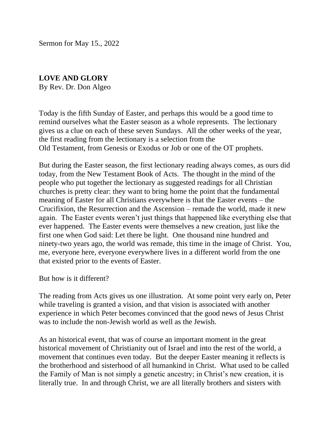Sermon for May 15., 2022

## **LOVE AND GLORY**

By Rev. Dr. Don Algeo

Today is the fifth Sunday of Easter, and perhaps this would be a good time to remind ourselves what the Easter season as a whole represents. The lectionary gives us a clue on each of these seven Sundays. All the other weeks of the year, the first reading from the lectionary is a selection from the Old Testament, from Genesis or Exodus or Job or one of the OT prophets.

But during the Easter season, the first lectionary reading always comes, as ours did today, from the New Testament Book of Acts. The thought in the mind of the people who put together the lectionary as suggested readings for all Christian churches is pretty clear: they want to bring home the point that the fundamental meaning of Easter for all Christians everywhere is that the Easter events – the Crucifixion, the Resurrection and the Ascension – remade the world, made it new again. The Easter events weren't just things that happened like everything else that ever happened. The Easter events were themselves a new creation, just like the first one when God said: Let there be light. One thousand nine hundred and ninety-two years ago, the world was remade, this time in the image of Christ. You, me, everyone here, everyone everywhere lives in a different world from the one that existed prior to the events of Easter.

But how is it different?

The reading from Acts gives us one illustration. At some point very early on, Peter while traveling is granted a vision, and that vision is associated with another experience in which Peter becomes convinced that the good news of Jesus Christ was to include the non-Jewish world as well as the Jewish.

As an historical event, that was of course an important moment in the great historical movement of Christianity out of Israel and into the rest of the world, a movement that continues even today. But the deeper Easter meaning it reflects is the brotherhood and sisterhood of all humankind in Christ. What used to be called the Family of Man is not simply a genetic ancestry; in Christ's new creation, it is literally true. In and through Christ, we are all literally brothers and sisters with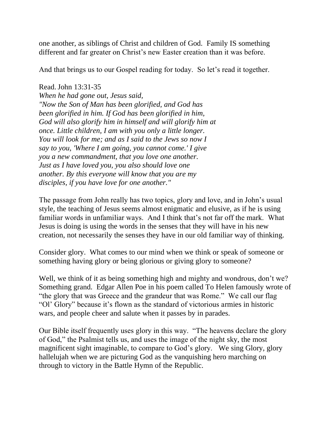one another, as siblings of Christ and children of God. Family IS something different and far greater on Christ's new Easter creation than it was before.

And that brings us to our Gospel reading for today. So let's read it together.

Read.John 13:31-35 *When he had gone out, Jesus said, "Now the Son of Man has been glorified, and God has been glorified in him. If God has been glorified in him, God will also glorify him in himself and will glorify him at once. Little children, I am with you only a little longer. You will look for me; and as I said to the Jews so now I say to you, 'Where I am going, you cannot come.' I give you a new commandment, that you love one another. Just as I have loved you, you also should love one another. By this everyone will know that you are my disciples, if you have love for one another."*

The passage from John really has two topics, glory and love, and in John's usual style, the teaching of Jesus seems almost enigmatic and elusive, as if he is using familiar words in unfamiliar ways. And I think that's not far off the mark. What Jesus is doing is using the words in the senses that they will have in his new creation, not necessarily the senses they have in our old familiar way of thinking.

Consider glory. What comes to our mind when we think or speak of someone or something having glory or being glorious or giving glory to someone?

Well, we think of it as being something high and mighty and wondrous, don't we? Something grand. Edgar Allen Poe in his poem called To Helen famously wrote of "the glory that was Greece and the grandeur that was Rome." We call our flag "Ol' Glory" because it's flown as the standard of victorious armies in historic wars, and people cheer and salute when it passes by in parades.

Our Bible itself frequently uses glory in this way. "The heavens declare the glory of God," the Psalmist tells us, and uses the image of the night sky, the most magnificent sight imaginable, to compare to God's glory. We sing Glory, glory hallelujah when we are picturing God as the vanquishing hero marching on through to victory in the Battle Hymn of the Republic.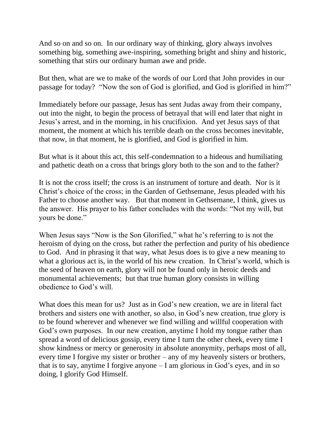And so on and so on. In our ordinary way of thinking, glory always involves something big, something awe-inspiring, something bright and shiny and historic, something that stirs our ordinary human awe and pride.

But then, what are we to make of the words of our Lord that John provides in our passage for today? "Now the son of God is glorified, and God is glorified in him?"

Immediately before our passage, Jesus has sent Judas away from their company, out into the night, to begin the process of betrayal that will end later that night in Jesus's arrest, and in the morning, in his crucifixion. And yet Jesus says of that moment, the moment at which his terrible death on the cross becomes inevitable, that now, in that moment, he is glorified, and God is glorified in him.

But what is it about this act, this self-condemnation to a hideous and humiliating and pathetic death on a cross that brings glory both to the son and to the father?

It is not the cross itself; the cross is an instrument of torture and death. Nor is it Christ's choice of the cross; in the Garden of Gethsemane, Jesus pleaded with his Father to choose another way. But that moment in Gethsemane, I think, gives us the answer. His prayer to his father concludes with the words: "Not my will, but yours be done."

When Jesus says "Now is the Son Glorified," what he's referring to is not the heroism of dying on the cross, but rather the perfection and purity of his obedience to God. And in phrasing it that way, what Jesus does is to give a new meaning to what a glorious act is, in the world of his new creation. In Christ's world, which is the seed of heaven on earth, glory will not be found only in heroic deeds and monumental achievements; but that true human glory consists in willing obedience to God's will.

What does this mean for us? Just as in God's new creation, we are in literal fact brothers and sisters one with another, so also, in God's new creation, true glory is to be found wherever and whenever we find willing and willful cooperation with God's own purposes. In our new creation, anytime I hold my tongue rather than spread a word of delicious gossip, every time I turn the other cheek, every time I show kindness or mercy or generosity in absolute anonymity, perhaps most of all, every time I forgive my sister or brother – any of my heavenly sisters or brothers, that is to say, anytime I forgive anyone – I am glorious in God's eyes, and in so doing, I glorify God Himself.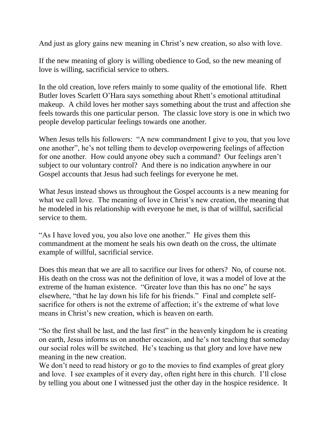And just as glory gains new meaning in Christ's new creation, so also with love.

If the new meaning of glory is willing obedience to God, so the new meaning of love is willing, sacrificial service to others.

In the old creation, love refers mainly to some quality of the emotional life. Rhett Butler loves Scarlett O'Hara says something about Rhett's emotional attitudinal makeup. A child loves her mother says something about the trust and affection she feels towards this one particular person. The classic love story is one in which two people develop particular feelings towards one another.

When Jesus tells his followers: "A new commandment I give to you, that you love one another", he's not telling them to develop overpowering feelings of affection for one another. How could anyone obey such a command? Our feelings aren't subject to our voluntary control? And there is no indication anywhere in our Gospel accounts that Jesus had such feelings for everyone he met.

What Jesus instead shows us throughout the Gospel accounts is a new meaning for what we call love. The meaning of love in Christ's new creation, the meaning that he modeled in his relationship with everyone he met, is that of willful, sacrificial service to them.

"As I have loved you, you also love one another." He gives them this commandment at the moment he seals his own death on the cross, the ultimate example of willful, sacrificial service.

Does this mean that we are all to sacrifice our lives for others? No, of course not. His death on the cross was not the definition of love, it was a model of love at the extreme of the human existence. "Greater love than this has no one" he says elsewhere, "that he lay down his life for his friends." Final and complete selfsacrifice for others is not the extreme of affection; it's the extreme of what love means in Christ's new creation, which is heaven on earth.

"So the first shall be last, and the last first" in the heavenly kingdom he is creating on earth, Jesus informs us on another occasion, and he's not teaching that someday our social roles will be switched. He's teaching us that glory and love have new meaning in the new creation.

We don't need to read history or go to the movies to find examples of great glory and love. I see examples of it every day, often right here in this church. I'll close by telling you about one I witnessed just the other day in the hospice residence. It